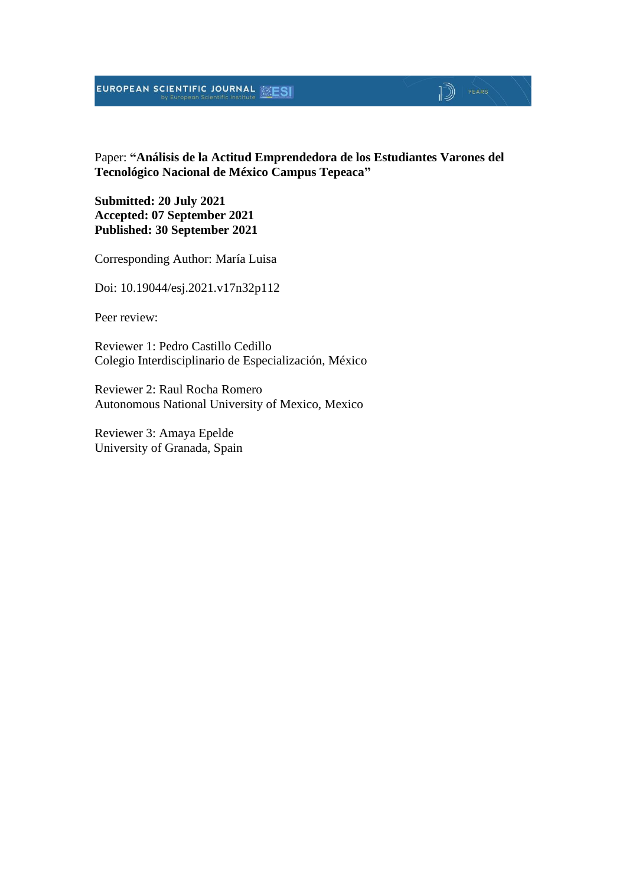#### EUROPEAN SCIENTIFIC JOURNAL MESI

### Paper: **"Análisis de la Actitud Emprendedora de los Estudiantes Varones del Tecnológico Nacional de México Campus Tepeaca"**

 $\mathbb{D}$   $\mathbb{P}$   $\mathbb{P}$   $\mathbb{P}$   $\mathbb{P}$   $\mathbb{P}$   $\mathbb{P}$   $\mathbb{P}$   $\mathbb{P}$   $\mathbb{P}$   $\mathbb{P}$   $\mathbb{P}$   $\mathbb{P}$   $\mathbb{P}$   $\mathbb{P}$   $\mathbb{P}$   $\mathbb{P}$   $\mathbb{P}$   $\mathbb{P}$   $\mathbb{P}$   $\mathbb{P}$   $\mathbb{P}$   $\mathbb{P}$   $\mathbb{P}$   $\mathbb{$ 

**Submitted: 20 July 2021 Accepted: 07 September 2021 Published: 30 September 2021**

Corresponding Author: María Luisa

Doi: 10.19044/esj.2021.v17n32p112

Peer review:

Reviewer 1: Pedro Castillo Cedillo Colegio Interdisciplinario de Especialización, México

Reviewer 2: Raul Rocha Romero Autonomous National University of Mexico, Mexico

Reviewer 3: Amaya Epelde University of Granada, Spain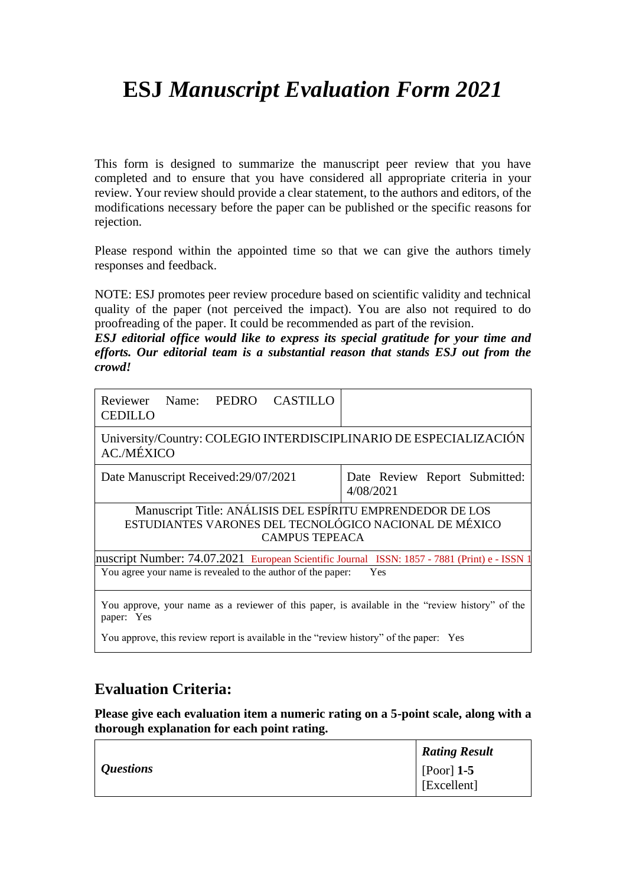# **ESJ** *Manuscript Evaluation Form 2021*

This form is designed to summarize the manuscript peer review that you have completed and to ensure that you have considered all appropriate criteria in your review. Your review should provide a clear statement, to the authors and editors, of the modifications necessary before the paper can be published or the specific reasons for rejection.

Please respond within the appointed time so that we can give the authors timely responses and feedback.

NOTE: ESJ promotes peer review procedure based on scientific validity and technical quality of the paper (not perceived the impact). You are also not required to do proofreading of the paper. It could be recommended as part of the revision.

*ESJ editorial office would like to express its special gratitude for your time and efforts. Our editorial team is a substantial reason that stands ESJ out from the crowd!*

| University/Country: COLEGIO INTERDISCIPLINARIO DE ESPECIALIZACIÓN<br><b>AC./MÉXICO</b>                                                        |                                            |
|-----------------------------------------------------------------------------------------------------------------------------------------------|--------------------------------------------|
| Date Manuscript Received: 29/07/2021                                                                                                          | Date Review Report Submitted:<br>4/08/2021 |
| Manuscript Title: ANÁLISIS DEL ESPÍRITU EMPRENDEDOR DE LOS<br>ESTUDIANTES VARONES DEL TECNOLÓGICO NACIONAL DE MÉXICO<br><b>CAMPUS TEPEACA</b> |                                            |
| Inuscript Number: 74.07.2021 European Scientific Journal ISSN: 1857 - 7881 (Print) e - ISSN 1                                                 |                                            |
| You agree your name is revealed to the author of the paper:                                                                                   | Yes                                        |

### **Evaluation Criteria:**

**Please give each evaluation item a numeric rating on a 5-point scale, along with a thorough explanation for each point rating.**

|                  | <b>Rating Result</b>        |
|------------------|-----------------------------|
| <i>Questions</i> | [Poor] $1-5$<br>[Excellent] |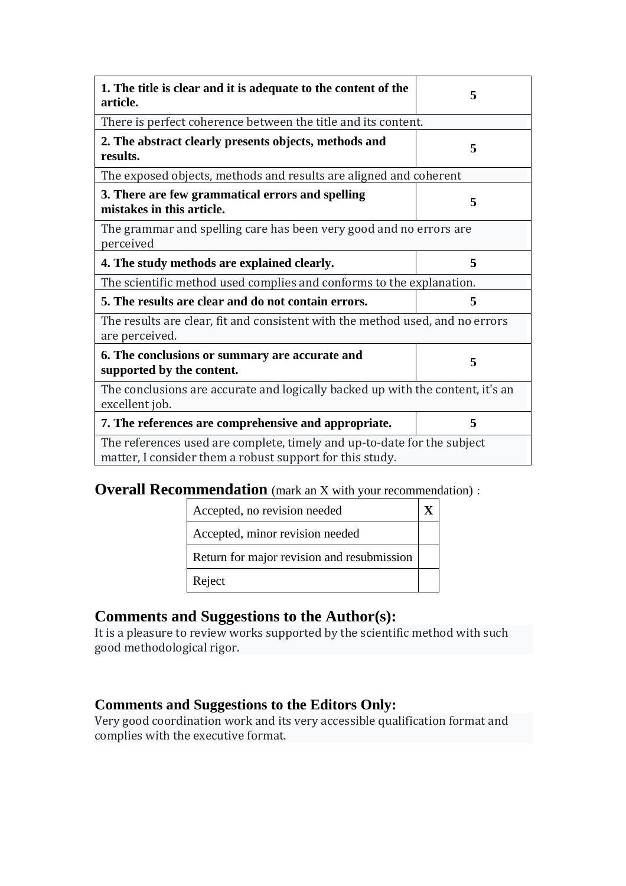| 1. The title is clear and it is adequate to the content of the<br>article.                                                          | 5 |  |
|-------------------------------------------------------------------------------------------------------------------------------------|---|--|
| There is perfect coherence between the title and its content.                                                                       |   |  |
| 2. The abstract clearly presents objects, methods and<br>results.                                                                   | 5 |  |
| The exposed objects, methods and results are aligned and coherent                                                                   |   |  |
| 3. There are few grammatical errors and spelling<br>mistakes in this article.                                                       | 5 |  |
| The grammar and spelling care has been very good and no errors are<br>perceived                                                     |   |  |
| 4. The study methods are explained clearly.                                                                                         | 5 |  |
| The scientific method used complies and conforms to the explanation.                                                                |   |  |
| 5. The results are clear and do not contain errors.                                                                                 | 5 |  |
| The results are clear, fit and consistent with the method used, and no errors<br>are perceived.                                     |   |  |
| 6. The conclusions or summary are accurate and<br>supported by the content.                                                         | 5 |  |
| The conclusions are accurate and logically backed up with the content, it's an<br>excellent job.                                    |   |  |
| 7. The references are comprehensive and appropriate.                                                                                | 5 |  |
| The references used are complete, timely and up-to-date for the subject<br>matter, I consider them a robust support for this study. |   |  |

### **Overall Recommendation** (mark an X with your recommendation):

| Accepted, no revision needed               |  |
|--------------------------------------------|--|
| Accepted, minor revision needed            |  |
| Return for major revision and resubmission |  |
| Reject                                     |  |

### **Comments and Suggestions to the Author(s):**

It is a pleasure to review works supported by the scientific method with such good methodological rigor.

#### **Comments and Suggestions to the Editors Only:**

Very good coordination work and its very accessible qualification format and complies with the executive format.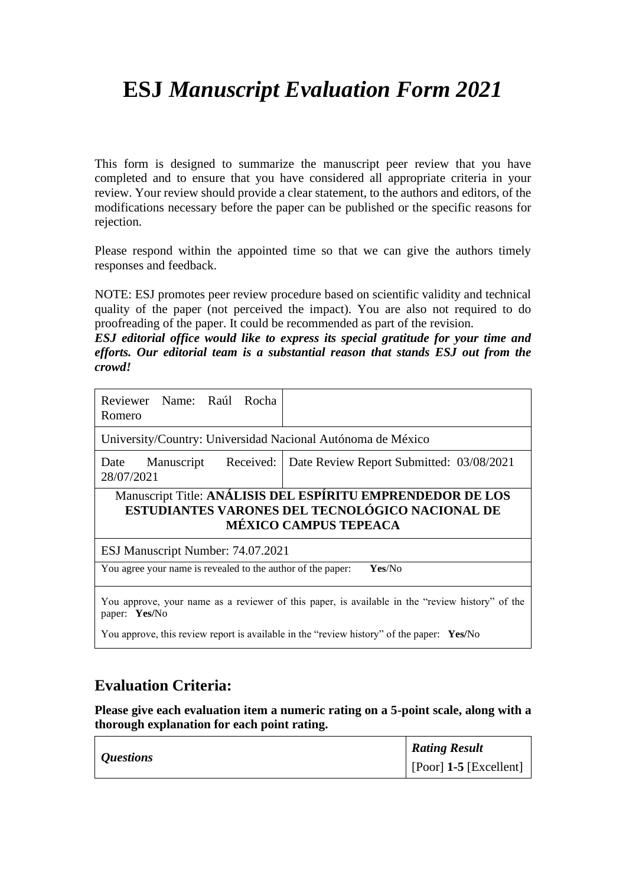# **ESJ** *Manuscript Evaluation Form 2021*

This form is designed to summarize the manuscript peer review that you have completed and to ensure that you have considered all appropriate criteria in your review. Your review should provide a clear statement, to the authors and editors, of the modifications necessary before the paper can be published or the specific reasons for rejection.

Please respond within the appointed time so that we can give the authors timely responses and feedback.

NOTE: ESJ promotes peer review procedure based on scientific validity and technical quality of the paper (not perceived the impact). You are also not required to do proofreading of the paper. It could be recommended as part of the revision.

*ESJ editorial office would like to express its special gratitude for your time and efforts. Our editorial team is a substantial reason that stands ESJ out from the crowd!*

| Reviewer Name: Raúl Rocha<br>Romero                                                                                                           |                                                                                           |  |
|-----------------------------------------------------------------------------------------------------------------------------------------------|-------------------------------------------------------------------------------------------|--|
| University/Country: Universidad Nacional Autónoma de México                                                                                   |                                                                                           |  |
| 28/07/2021                                                                                                                                    | Date Manuscript Received:   Date Review Report Submitted: 03/08/2021                      |  |
| Manuscript Title: ANÁLISIS DEL ESPÍRITU EMPRENDEDOR DE LOS<br>ESTUDIANTES VARONES DEL TECNOLÓGICO NACIONAL DE<br><b>MÉXICO CAMPUS TEPEACA</b> |                                                                                           |  |
| ESJ Manuscript Number: 74.07.2021                                                                                                             |                                                                                           |  |
| You agree your name is revealed to the author of the paper:<br>Yes/No                                                                         |                                                                                           |  |
| You approve, your name as a reviewer of this paper, is available in the "review history" of the<br>paper: Yes/No                              |                                                                                           |  |
|                                                                                                                                               | You approve, this review report is available in the "review history" of the paper: Yes/No |  |

### **Evaluation Criteria:**

**Please give each evaluation item a numeric rating on a 5-point scale, along with a thorough explanation for each point rating.**

| <i>Questions</i> | <b>Rating Result</b>           |
|------------------|--------------------------------|
|                  | $\vert$ [Poor] 1-5 [Excellent] |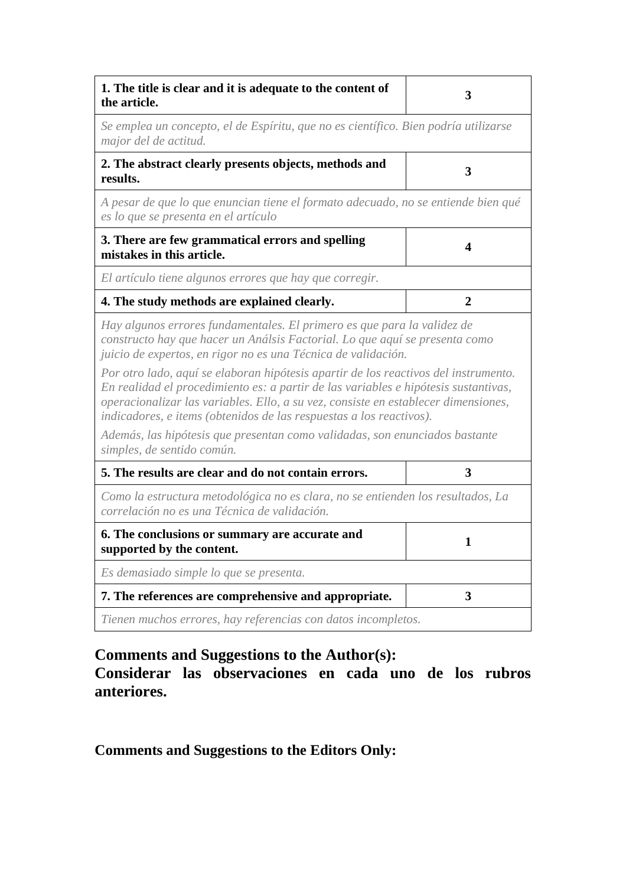| 1. The title is clear and it is adequate to the content of<br>the article.                                                                                                                                                                                                                                                              | 3            |
|-----------------------------------------------------------------------------------------------------------------------------------------------------------------------------------------------------------------------------------------------------------------------------------------------------------------------------------------|--------------|
| Se emplea un concepto, el de Espíritu, que no es científico. Bien podría utilizarse<br>major del de actitud.                                                                                                                                                                                                                            |              |
| 2. The abstract clearly presents objects, methods and<br>results.                                                                                                                                                                                                                                                                       | 3            |
| A pesar de que lo que enuncian tiene el formato adecuado, no se entiende bien qué<br>es lo que se presenta en el artículo                                                                                                                                                                                                               |              |
| 3. There are few grammatical errors and spelling<br>mistakes in this article.                                                                                                                                                                                                                                                           | 4            |
| El artículo tiene algunos errores que hay que corregir.                                                                                                                                                                                                                                                                                 |              |
| 4. The study methods are explained clearly.                                                                                                                                                                                                                                                                                             | $\mathbf{2}$ |
| Hay algunos errores fundamentales. El primero es que para la validez de<br>constructo hay que hacer un Análsis Factorial. Lo que aquí se presenta como<br>juicio de expertos, en rigor no es una Técnica de validación.                                                                                                                 |              |
| Por otro lado, aquí se elaboran hipótesis apartir de los reactivos del instrumento.<br>En realidad el procedimiento es: a partir de las variables e hipótesis sustantivas,<br>operacionalizar las variables. Ello, a su vez, consiste en establecer dimensiones,<br>indicadores, e items (obtenidos de las respuestas a los reactivos). |              |
| Además, las hipótesis que presentan como validadas, son enunciados bastante<br>simples, de sentido común.                                                                                                                                                                                                                               |              |
| 5. The results are clear and do not contain errors.                                                                                                                                                                                                                                                                                     | 3            |
| Como la estructura metodológica no es clara, no se entienden los resultados, La<br>correlación no es una Técnica de validación.                                                                                                                                                                                                         |              |
| 6. The conclusions or summary are accurate and<br>supported by the content.                                                                                                                                                                                                                                                             | L            |
| Es demasiado simple lo que se presenta.                                                                                                                                                                                                                                                                                                 |              |
| 7. The references are comprehensive and appropriate.                                                                                                                                                                                                                                                                                    | 3            |
| Tienen muchos errores, hay referencias con datos incompletos.                                                                                                                                                                                                                                                                           |              |

## **Comments and Suggestions to the Author(s):**

**Considerar las observaciones en cada uno de los rubros anteriores.**

**Comments and Suggestions to the Editors Only:**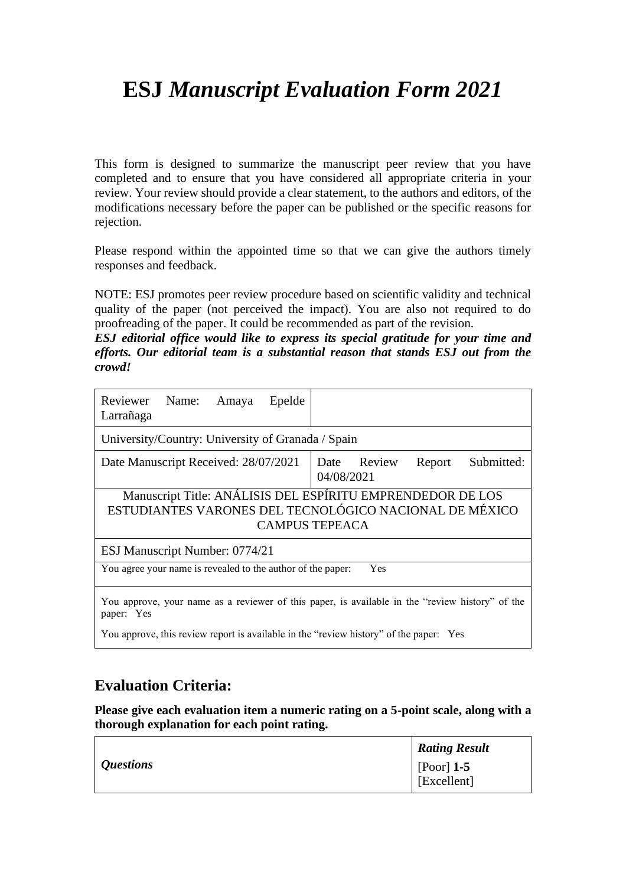# **ESJ** *Manuscript Evaluation Form 2021*

This form is designed to summarize the manuscript peer review that you have completed and to ensure that you have considered all appropriate criteria in your review. Your review should provide a clear statement, to the authors and editors, of the modifications necessary before the paper can be published or the specific reasons for rejection.

Please respond within the appointed time so that we can give the authors timely responses and feedback.

NOTE: ESJ promotes peer review procedure based on scientific validity and technical quality of the paper (not perceived the impact). You are also not required to do proofreading of the paper. It could be recommended as part of the revision.

*ESJ editorial office would like to express its special gratitude for your time and efforts. Our editorial team is a substantial reason that stands ESJ out from the crowd!*

| Reviewer<br>Epelde<br>Name: Amaya<br>Larrañaga                                                                                                |                                                   |  |
|-----------------------------------------------------------------------------------------------------------------------------------------------|---------------------------------------------------|--|
| University/Country: University of Granada / Spain                                                                                             |                                                   |  |
| Date Manuscript Received: 28/07/2021                                                                                                          | Date Review<br>Submitted:<br>Report<br>04/08/2021 |  |
| Manuscript Title: ANÁLISIS DEL ESPÍRITU EMPRENDEDOR DE LOS<br>ESTUDIANTES VARONES DEL TECNOLÓGICO NACIONAL DE MÉXICO<br><b>CAMPUS TEPEACA</b> |                                                   |  |
| ESJ Manuscript Number: 0774/21                                                                                                                |                                                   |  |
| You agree your name is revealed to the author of the paper:<br>Yes                                                                            |                                                   |  |
| You approve, your name as a reviewer of this paper, is available in the "review history" of the<br>paper: Yes                                 |                                                   |  |
| You approve, this review report is available in the "review history" of the paper: Yes                                                        |                                                   |  |

### **Evaluation Criteria:**

**Please give each evaluation item a numeric rating on a 5-point scale, along with a thorough explanation for each point rating.**

|                  | <b>Rating Result</b> |
|------------------|----------------------|
| <i>Questions</i> | $[$ [Poor] 1-5       |
|                  | [Excellent]          |